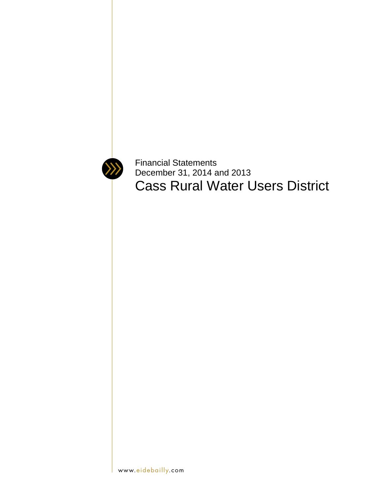

Financial Statements December 31, 2014 and 2013 Cass Rural Water Users District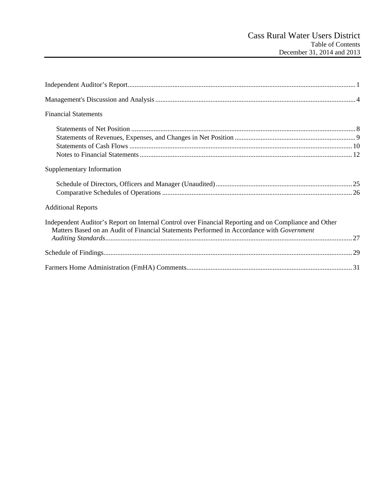| <b>Financial Statements</b>                                                                                                                                                                        |
|----------------------------------------------------------------------------------------------------------------------------------------------------------------------------------------------------|
|                                                                                                                                                                                                    |
| Supplementary Information                                                                                                                                                                          |
|                                                                                                                                                                                                    |
| <b>Additional Reports</b>                                                                                                                                                                          |
| Independent Auditor's Report on Internal Control over Financial Reporting and on Compliance and Other<br>Matters Based on an Audit of Financial Statements Performed in Accordance with Government |
|                                                                                                                                                                                                    |
|                                                                                                                                                                                                    |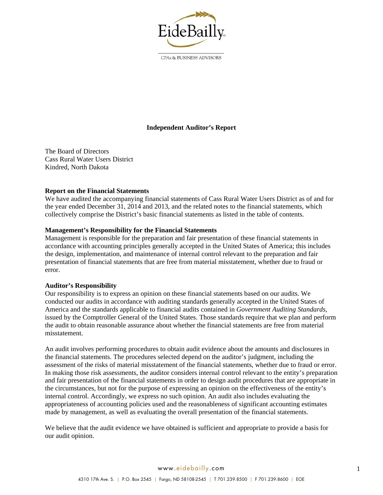

CPAs & BUSINESS ADVISORS

# **Independent Auditor's Report**

The Board of Directors Cass Rural Water Users District Kindred, North Dakota

#### **Report on the Financial Statements**

We have audited the accompanying financial statements of Cass Rural Water Users District as of and for the year ended December 31, 2014 and 2013, and the related notes to the financial statements, which collectively comprise the District's basic financial statements as listed in the table of contents.

#### **Management's Responsibility for the Financial Statements**

Management is responsible for the preparation and fair presentation of these financial statements in accordance with accounting principles generally accepted in the United States of America; this includes the design, implementation, and maintenance of internal control relevant to the preparation and fair presentation of financial statements that are free from material misstatement, whether due to fraud or error.

#### **Auditor's Responsibility**

Our responsibility is to express an opinion on these financial statements based on our audits. We conducted our audits in accordance with auditing standards generally accepted in the United States of America and the standards applicable to financial audits contained in *Government Auditing Standards*, issued by the Comptroller General of the United States. Those standards require that we plan and perform the audit to obtain reasonable assurance about whether the financial statements are free from material misstatement.

An audit involves performing procedures to obtain audit evidence about the amounts and disclosures in the financial statements. The procedures selected depend on the auditor's judgment, including the assessment of the risks of material misstatement of the financial statements, whether due to fraud or error. In making those risk assessments, the auditor considers internal control relevant to the entity's preparation and fair presentation of the financial statements in order to design audit procedures that are appropriate in the circumstances, but not for the purpose of expressing an opinion on the effectiveness of the entity's internal control. Accordingly, we express no such opinion. An audit also includes evaluating the appropriateness of accounting policies used and the reasonableness of significant accounting estimates made by management, as well as evaluating the overall presentation of the financial statements.

We believe that the audit evidence we have obtained is sufficient and appropriate to provide a basis for our audit opinion.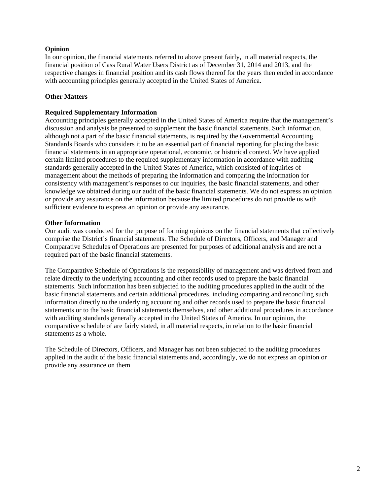### **Opinion**

In our opinion, the financial statements referred to above present fairly, in all material respects, the financial position of Cass Rural Water Users District as of December 31, 2014 and 2013, and the respective changes in financial position and its cash flows thereof for the years then ended in accordance with accounting principles generally accepted in the United States of America.

# **Other Matters**

#### **Required Supplementary Information**

Accounting principles generally accepted in the United States of America require that the management's discussion and analysis be presented to supplement the basic financial statements. Such information, although not a part of the basic financial statements, is required by the Governmental Accounting Standards Boards who considers it to be an essential part of financial reporting for placing the basic financial statements in an appropriate operational, economic, or historical context. We have applied certain limited procedures to the required supplementary information in accordance with auditing standards generally accepted in the United States of America, which consisted of inquiries of management about the methods of preparing the information and comparing the information for consistency with management's responses to our inquiries, the basic financial statements, and other knowledge we obtained during our audit of the basic financial statements. We do not express an opinion or provide any assurance on the information because the limited procedures do not provide us with sufficient evidence to express an opinion or provide any assurance.

#### **Other Information**

Our audit was conducted for the purpose of forming opinions on the financial statements that collectively comprise the District's financial statements. The Schedule of Directors, Officers, and Manager and Comparative Schedules of Operations are presented for purposes of additional analysis and are not a required part of the basic financial statements.

The Comparative Schedule of Operations is the responsibility of management and was derived from and relate directly to the underlying accounting and other records used to prepare the basic financial statements. Such information has been subjected to the auditing procedures applied in the audit of the basic financial statements and certain additional procedures, including comparing and reconciling such information directly to the underlying accounting and other records used to prepare the basic financial statements or to the basic financial statements themselves, and other additional procedures in accordance with auditing standards generally accepted in the United States of America. In our opinion, the comparative schedule of are fairly stated, in all material respects, in relation to the basic financial statements as a whole.

The Schedule of Directors, Officers, and Manager has not been subjected to the auditing procedures applied in the audit of the basic financial statements and, accordingly, we do not express an opinion or provide any assurance on them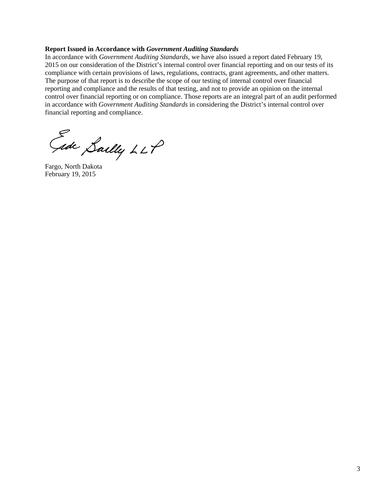#### **Report Issued in Accordance with** *Government Auditing Standards*

In accordance with *Government Auditing Standards*, we have also issued a report dated February 19, 2015 on our consideration of the District's internal control over financial reporting and on our tests of its compliance with certain provisions of laws, regulations, contracts, grant agreements, and other matters. The purpose of that report is to describe the scope of our testing of internal control over financial reporting and compliance and the results of that testing, and not to provide an opinion on the internal control over financial reporting or on compliance. Those reports are an integral part of an audit performed in accordance with *Government Auditing Standards* in considering the District's internal control over financial reporting and compliance.

Sally LLP<br>Fargo, North Dakota

February 19, 2015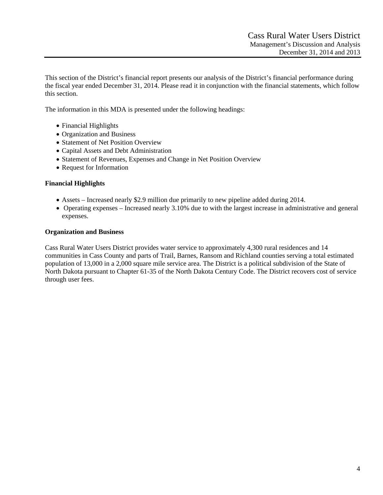This section of the District's financial report presents our analysis of the District's financial performance during the fiscal year ended December 31, 2014. Please read it in conjunction with the financial statements, which follow this section.

The information in this MDA is presented under the following headings:

- Financial Highlights
- Organization and Business
- Statement of Net Position Overview
- Capital Assets and Debt Administration
- Statement of Revenues, Expenses and Change in Net Position Overview
- Request for Information

#### **Financial Highlights**

- Assets Increased nearly \$2.9 million due primarily to new pipeline added during 2014.
- Operating expenses Increased nearly 3.10% due to with the largest increase in administrative and general expenses.

#### **Organization and Business**

Cass Rural Water Users District provides water service to approximately 4,300 rural residences and 14 communities in Cass County and parts of Trail, Barnes, Ransom and Richland counties serving a total estimated population of 13,000 in a 2,000 square mile service area. The District is a political subdivision of the State of North Dakota pursuant to Chapter 61-35 of the North Dakota Century Code. The District recovers cost of service through user fees.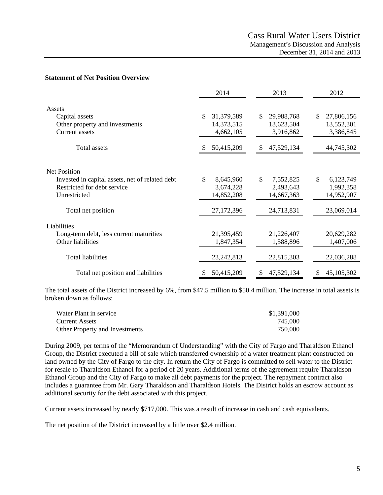#### **Statement of Net Position Overview**

|                                                 | 2014             | 2013             | 2012            |
|-------------------------------------------------|------------------|------------------|-----------------|
| Assets                                          |                  |                  |                 |
| Capital assets                                  | \$<br>31,379,589 | \$<br>29,988,768 | S<br>27,806,156 |
| Other property and investments                  | 14,373,515       | 13,623,504       | 13,552,301      |
| <b>Current</b> assets                           | 4,662,105        | 3,916,862        | 3,386,845       |
| Total assets                                    | 50,415,209       | 47,529,134       | 44,745,302      |
|                                                 |                  |                  |                 |
| <b>Net Position</b>                             |                  |                  |                 |
| Invested in capital assets, net of related debt | \$<br>8,645,960  | \$<br>7,552,825  | \$<br>6,123,749 |
| Restricted for debt service                     | 3,674,228        | 2,493,643        | 1,992,358       |
| Unrestricted                                    | 14,852,208       | 14,667,363       | 14,952,907      |
| Total net position                              | 27,172,396       | 24,713,831       | 23,069,014      |
| Liabilities                                     |                  |                  |                 |
| Long-term debt, less current maturities         | 21,395,459       | 21,226,407       | 20,629,282      |
| Other liabilities                               | 1,847,354        | 1,588,896        | 1,407,006       |
| <b>Total liabilities</b>                        | 23, 242, 813     | 22,815,303       | 22,036,288      |
| Total net position and liabilities              | 50,415,209       | 47,529,134<br>\$ | 45,105,302<br>S |

The total assets of the District increased by 6%, from \$47.5 million to \$50.4 million. The increase in total assets is broken down as follows:

| Water Plant in service         | \$1,391,000 |
|--------------------------------|-------------|
| <b>Current Assets</b>          | 745,000     |
| Other Property and Investments | 750,000     |

During 2009, per terms of the "Memorandum of Understanding" with the City of Fargo and Tharaldson Ethanol Group, the District executed a bill of sale which transferred ownership of a water treatment plant constructed on land owned by the City of Fargo to the city. In return the City of Fargo is committed to sell water to the District for resale to Tharaldson Ethanol for a period of 20 years. Additional terms of the agreement require Tharaldson Ethanol Group and the City of Fargo to make all debt payments for the project. The repayment contract also includes a guarantee from Mr. Gary Tharaldson and Tharaldson Hotels. The District holds an escrow account as additional security for the debt associated with this project.

Current assets increased by nearly \$717,000. This was a result of increase in cash and cash equivalents.

The net position of the District increased by a little over \$2.4 million.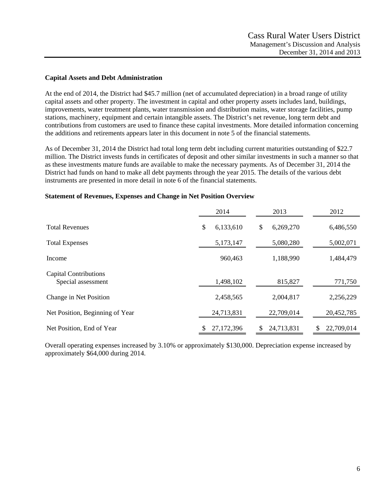#### **Capital Assets and Debt Administration**

At the end of 2014, the District had \$45.7 million (net of accumulated depreciation) in a broad range of utility capital assets and other property. The investment in capital and other property assets includes land, buildings, improvements, water treatment plants, water transmission and distribution mains, water storage facilities, pump stations, machinery, equipment and certain intangible assets. The District's net revenue, long term debt and contributions from customers are used to finance these capital investments. More detailed information concerning the additions and retirements appears later in this document in note 5 of the financial statements.

As of December 31, 2014 the District had total long term debt including current maturities outstanding of \$22.7 million. The District invests funds in certificates of deposit and other similar investments in such a manner so that as these investments mature funds are available to make the necessary payments. As of December 31, 2014 the District had funds on hand to make all debt payments through the year 2015. The details of the various debt instruments are presented in more detail in note 6 of the financial statements.

|                                                    | 2014            |    | 2013       |   | 2012       |
|----------------------------------------------------|-----------------|----|------------|---|------------|
| <b>Total Revenues</b>                              | \$<br>6,133,610 | \$ | 6,269,270  |   | 6,486,550  |
| <b>Total Expenses</b>                              | 5,173,147       |    | 5,080,280  |   | 5,002,071  |
| Income                                             | 960,463         |    | 1,188,990  |   | 1,484,479  |
| <b>Capital Contributions</b><br>Special assessment | 1,498,102       |    | 815,827    |   | 771,750    |
| Change in Net Position                             | 2,458,565       |    | 2,004,817  |   | 2,256,229  |
| Net Position, Beginning of Year                    | 24,713,831      |    | 22,709,014 |   | 20,452,785 |
| Net Position, End of Year                          | 27,172,396      | S  | 24,713,831 | S | 22,709,014 |

#### **Statement of Revenues, Expenses and Change in Net Position Overview**

Overall operating expenses increased by 3.10% or approximately \$130,000. Depreciation expense increased by approximately \$64,000 during 2014.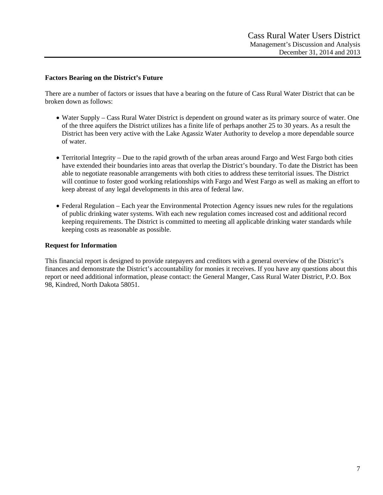#### **Factors Bearing on the District's Future**

There are a number of factors or issues that have a bearing on the future of Cass Rural Water District that can be broken down as follows:

- Water Supply Cass Rural Water District is dependent on ground water as its primary source of water. One of the three aquifers the District utilizes has a finite life of perhaps another 25 to 30 years. As a result the District has been very active with the Lake Agassiz Water Authority to develop a more dependable source of water.
- Territorial Integrity Due to the rapid growth of the urban areas around Fargo and West Fargo both cities have extended their boundaries into areas that overlap the District's boundary. To date the District has been able to negotiate reasonable arrangements with both cities to address these territorial issues. The District will continue to foster good working relationships with Fargo and West Fargo as well as making an effort to keep abreast of any legal developments in this area of federal law.
- Federal Regulation Each year the Environmental Protection Agency issues new rules for the regulations of public drinking water systems. With each new regulation comes increased cost and additional record keeping requirements. The District is committed to meeting all applicable drinking water standards while keeping costs as reasonable as possible.

#### **Request for Information**

This financial report is designed to provide ratepayers and creditors with a general overview of the District's finances and demonstrate the District's accountability for monies it receives. If you have any questions about this report or need additional information, please contact: the General Manger, Cass Rural Water District, P.O. Box 98, Kindred, North Dakota 58051.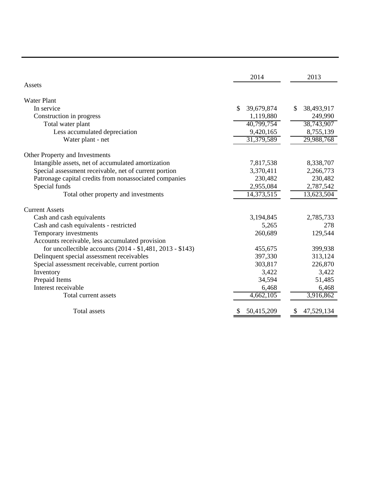|                                                           | 2014             | 2013             |
|-----------------------------------------------------------|------------------|------------------|
| Assets                                                    |                  |                  |
| <b>Water Plant</b>                                        |                  |                  |
| In service                                                | \$<br>39,679,874 | \$<br>38,493,917 |
| Construction in progress                                  | 1,119,880        | 249,990          |
| Total water plant                                         | 40,799,754       | 38,743,907       |
| Less accumulated depreciation                             | 9,420,165        | 8,755,139        |
| Water plant - net                                         | 31,379,589       | 29,988,768       |
| Other Property and Investments                            |                  |                  |
| Intangible assets, net of accumulated amortization        | 7,817,538        | 8,338,707        |
| Special assessment receivable, net of current portion     | 3,370,411        | 2,266,773        |
| Patronage capital credits from nonassociated companies    | 230,482          | 230,482          |
| Special funds                                             | 2,955,084        | 2,787,542        |
| Total other property and investments                      | 14,373,515       | 13,623,504       |
| <b>Current Assets</b>                                     |                  |                  |
| Cash and cash equivalents                                 | 3,194,845        | 2,785,733        |
| Cash and cash equivalents - restricted                    | 5,265            | 278              |
| Temporary investments                                     | 260,689          | 129,544          |
| Accounts receivable, less accumulated provision           |                  |                  |
| for uncollectible accounts (2014 - \$1,481, 2013 - \$143) | 455,675          | 399,938          |
| Delinquent special assessment receivables                 | 397,330          | 313,124          |
| Special assessment receivable, current portion            | 303,817          | 226,870          |
| Inventory                                                 | 3,422            | 3,422            |
| Prepaid Items                                             | 34,594           | 51,485           |
| Interest receivable                                       | 6,468            | 6,468            |
| Total current assets                                      | 4,662,105        | 3,916,862        |
| <b>Total assets</b>                                       | 50,415,209       | 47,529,134       |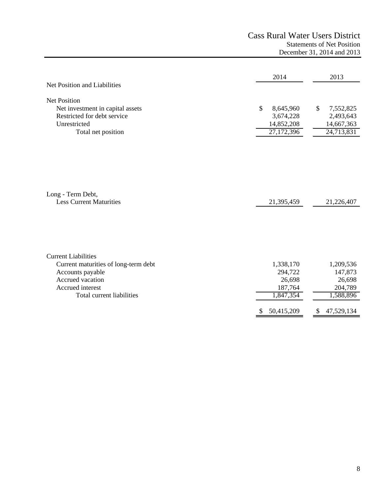# Cass Rural Water Users District Statements of Net Position December 31, 2014 and 2013

| Net Position and Liabilities                                                                                                                                | 2014                                                                      | 2013                                                                                 |
|-------------------------------------------------------------------------------------------------------------------------------------------------------------|---------------------------------------------------------------------------|--------------------------------------------------------------------------------------|
| Net Position<br>Net investment in capital assets<br>Restricted for debt service<br>Unrestricted<br>Total net position                                       | \$<br>8,645,960<br>3,674,228<br>14,852,208<br>27,172,396                  | \$<br>7,552,825<br>2,493,643<br>14,667,363<br>24,713,831                             |
| Long - Term Debt,<br><b>Less Current Maturities</b>                                                                                                         | 21,395,459                                                                | 21,226,407                                                                           |
| <b>Current Liabilities</b><br>Current maturities of long-term debt<br>Accounts payable<br>Accrued vacation<br>Accrued interest<br>Total current liabilities | 1,338,170<br>294,722<br>26,698<br>187,764<br>1,847,354<br>50,415,209<br>S | 1,209,536<br>147,873<br>26,698<br>204,789<br>1,588,896<br>47,529,134<br><sup>S</sup> |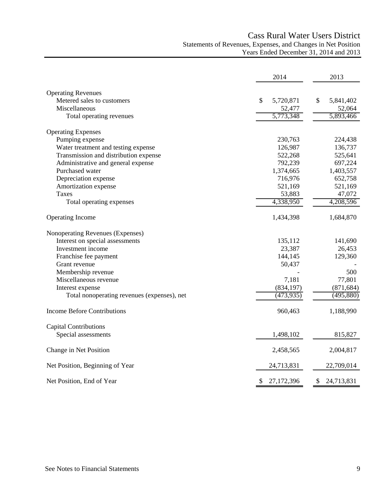# Cass Rural Water Users District Statements of Revenues, Expenses, and Changes in Net Position Years Ended December 31, 2014 and 2013

|                                             | 2014             | 2013             |
|---------------------------------------------|------------------|------------------|
| <b>Operating Revenues</b>                   |                  |                  |
| Metered sales to customers                  | \$<br>5,720,871  | \$<br>5,841,402  |
| Miscellaneous                               | 52,477           | 52,064           |
| Total operating revenues                    | 5,773,348        | 5,893,466        |
| <b>Operating Expenses</b>                   |                  |                  |
| Pumping expense                             | 230,763          | 224,438          |
| Water treatment and testing expense         | 126,987          | 136,737          |
| Transmission and distribution expense       | 522,268          | 525,641          |
| Administrative and general expense          | 792,239          | 697,224          |
| Purchased water                             | 1,374,665        | 1,403,557        |
| Depreciation expense                        | 716,976          | 652,758          |
| Amortization expense                        | 521,169          | 521,169          |
| Taxes                                       | 53,883           | 47,072           |
| Total operating expenses                    | 4,338,950        | 4,208,596        |
| <b>Operating Income</b>                     | 1,434,398        | 1,684,870        |
| Nonoperating Revenues (Expenses)            |                  |                  |
| Interest on special assessments             | 135,112          | 141,690          |
| Investment income                           | 23,387           | 26,453           |
| Franchise fee payment                       | 144,145          | 129,360          |
| Grant revenue                               | 50,437           |                  |
| Membership revenue                          |                  | 500              |
| Miscellaneous revenue                       | 7,181            | 77,801           |
| Interest expense                            | (834, 197)       | (871, 684)       |
| Total nonoperating revenues (expenses), net | (473, 935)       | (495,880)        |
| <b>Income Before Contributions</b>          | 960,463          | 1,188,990        |
| <b>Capital Contributions</b>                |                  |                  |
| Special assessments                         | 1,498,102        | 815,827          |
| Change in Net Position                      | 2,458,565        | 2,004,817        |
| Net Position, Beginning of Year             | 24,713,831       | 22,709,014       |
| Net Position, End of Year                   | 27,172,396<br>\$ | \$<br>24,713,831 |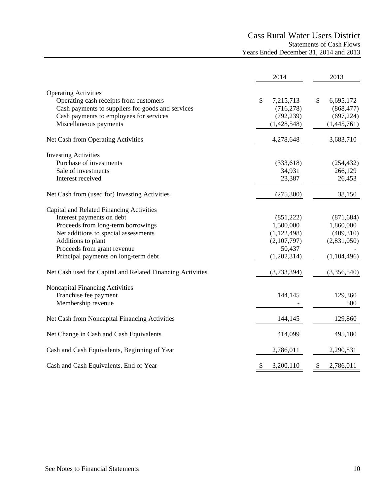# Cass Rural Water Users District Statements of Cash Flows Years Ended December 31, 2014 and 2013

|                                                            | 2014            | 2013                                   |
|------------------------------------------------------------|-----------------|----------------------------------------|
| <b>Operating Activities</b>                                |                 |                                        |
| Operating cash receipts from customers                     | \$<br>7,215,713 | \$<br>6,695,172                        |
| Cash payments to suppliers for goods and services          | (716, 278)      | (868, 477)                             |
| Cash payments to employees for services                    | (792, 239)      | (697, 224)                             |
| Miscellaneous payments                                     | (1,428,548)     | (1,445,761)                            |
| Net Cash from Operating Activities                         | 4,278,648       | 3,683,710                              |
| <b>Investing Activities</b>                                |                 |                                        |
| Purchase of investments                                    | (333, 618)      | (254, 432)                             |
| Sale of investments                                        | 34,931          | 266,129                                |
| Interest received                                          | 23,387          | 26,453                                 |
| Net Cash from (used for) Investing Activities              | (275,300)       | 38,150                                 |
| Capital and Related Financing Activities                   |                 |                                        |
| Interest payments on debt                                  | (851,222)       | (871, 684)                             |
| Proceeds from long-term borrowings                         | 1,500,000       | 1,860,000                              |
| Net additions to special assessments                       | (1, 122, 498)   | (409,310)                              |
| Additions to plant                                         | (2,107,797)     | (2,831,050)                            |
| Proceeds from grant revenue                                | 50,437          |                                        |
| Principal payments on long-term debt                       | (1,202,314)     | (1, 104, 496)                          |
| Net Cash used for Capital and Related Financing Activities | (3,733,394)     | (3,356,540)                            |
| Noncapital Financing Activities                            |                 |                                        |
| Franchise fee payment                                      | 144,145         | 129,360                                |
| Membership revenue                                         |                 | 500                                    |
| Net Cash from Noncapital Financing Activities              | 144,145         | 129,860                                |
| Net Change in Cash and Cash Equivalents                    | 414,099         | 495,180                                |
| Cash and Cash Equivalents, Beginning of Year               | 2,786,011       | 2,290,831                              |
| Cash and Cash Equivalents, End of Year                     | \$<br>3,200,110 | $\boldsymbol{\mathsf{S}}$<br>2,786,011 |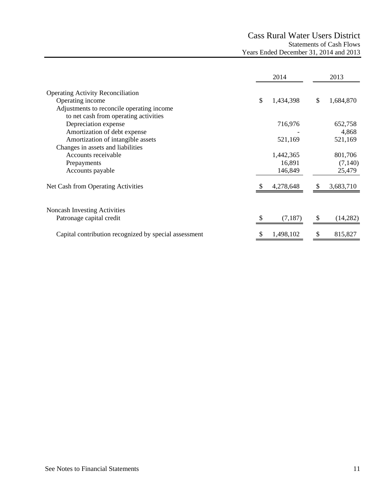# Cass Rural Water Users District Statements of Cash Flows Years Ended December 31, 2014 and 2013

|                                                       | 2014            | 2013            |
|-------------------------------------------------------|-----------------|-----------------|
| <b>Operating Activity Reconciliation</b>              |                 |                 |
| Operating income                                      | \$<br>1,434,398 | \$<br>1,684,870 |
| Adjustments to reconcile operating income             |                 |                 |
| to net cash from operating activities                 |                 |                 |
| Depreciation expense                                  | 716,976         | 652,758         |
| Amortization of debt expense                          |                 | 4,868           |
| Amortization of intangible assets                     | 521,169         | 521,169         |
| Changes in assets and liabilities                     |                 |                 |
| Accounts receivable                                   | 1,442,365       | 801,706         |
| Prepayments                                           | 16,891          | (7,140)         |
| Accounts payable                                      | 146,849         | 25,479          |
| Net Cash from Operating Activities                    | 4,278,648       | 3,683,710       |
| <b>Noncash Investing Activities</b>                   |                 |                 |
| Patronage capital credit                              | (7,187)         | (14,282)        |
| Capital contribution recognized by special assessment | 1,498,102       | \$<br>815,827   |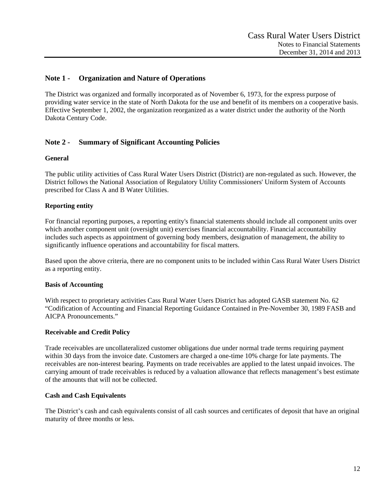# **Note 1 - Organization and Nature of Operations**

The District was organized and formally incorporated as of November 6, 1973, for the express purpose of providing water service in the state of North Dakota for the use and benefit of its members on a cooperative basis. Effective September 1, 2002, the organization reorganized as a water district under the authority of the North Dakota Century Code.

# **Note 2 - Summary of Significant Accounting Policies**

#### **General**

The public utility activities of Cass Rural Water Users District (District) are non-regulated as such. However, the District follows the National Association of Regulatory Utility Commissioners' Uniform System of Accounts prescribed for Class A and B Water Utilities.

#### **Reporting entity**

For financial reporting purposes, a reporting entity's financial statements should include all component units over which another component unit (oversight unit) exercises financial accountability. Financial accountability includes such aspects as appointment of governing body members, designation of management, the ability to significantly influence operations and accountability for fiscal matters.

Based upon the above criteria, there are no component units to be included within Cass Rural Water Users District as a reporting entity.

#### **Basis of Accounting**

With respect to proprietary activities Cass Rural Water Users District has adopted GASB statement No. 62 "Codification of Accounting and Financial Reporting Guidance Contained in Pre-November 30, 1989 FASB and AICPA Pronouncements."

#### **Receivable and Credit Policy**

Trade receivables are uncollateralized customer obligations due under normal trade terms requiring payment within 30 days from the invoice date. Customers are charged a one-time 10% charge for late payments. The receivables are non-interest bearing. Payments on trade receivables are applied to the latest unpaid invoices. The carrying amount of trade receivables is reduced by a valuation allowance that reflects management's best estimate of the amounts that will not be collected.

#### **Cash and Cash Equivalents**

The District's cash and cash equivalents consist of all cash sources and certificates of deposit that have an original maturity of three months or less.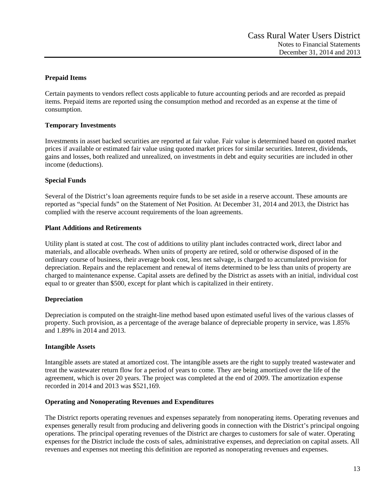# **Prepaid Items**

Certain payments to vendors reflect costs applicable to future accounting periods and are recorded as prepaid items. Prepaid items are reported using the consumption method and recorded as an expense at the time of consumption.

### **Temporary Investments**

Investments in asset backed securities are reported at fair value. Fair value is determined based on quoted market prices if available or estimated fair value using quoted market prices for similar securities. Interest, dividends, gains and losses, both realized and unrealized, on investments in debt and equity securities are included in other income (deductions).

# **Special Funds**

Several of the District's loan agreements require funds to be set aside in a reserve account. These amounts are reported as "special funds" on the Statement of Net Position. At December 31, 2014 and 2013, the District has complied with the reserve account requirements of the loan agreements.

#### **Plant Additions and Retirements**

Utility plant is stated at cost. The cost of additions to utility plant includes contracted work, direct labor and materials, and allocable overheads. When units of property are retired, sold or otherwise disposed of in the ordinary course of business, their average book cost, less net salvage, is charged to accumulated provision for depreciation. Repairs and the replacement and renewal of items determined to be less than units of property are charged to maintenance expense. Capital assets are defined by the District as assets with an initial, individual cost equal to or greater than \$500, except for plant which is capitalized in their entirety.

#### **Depreciation**

Depreciation is computed on the straight-line method based upon estimated useful lives of the various classes of property. Such provision, as a percentage of the average balance of depreciable property in service, was 1.85% and 1.89% in 2014 and 2013.

#### **Intangible Assets**

Intangible assets are stated at amortized cost. The intangible assets are the right to supply treated wastewater and treat the wastewater return flow for a period of years to come. They are being amortized over the life of the agreement, which is over 20 years. The project was completed at the end of 2009. The amortization expense recorded in 2014 and 2013 was \$521,169.

#### **Operating and Nonoperating Revenues and Expenditures**

The District reports operating revenues and expenses separately from nonoperating items. Operating revenues and expenses generally result from producing and delivering goods in connection with the District's principal ongoing operations. The principal operating revenues of the District are charges to customers for sale of water. Operating expenses for the District include the costs of sales, administrative expenses, and depreciation on capital assets. All revenues and expenses not meeting this definition are reported as nonoperating revenues and expenses.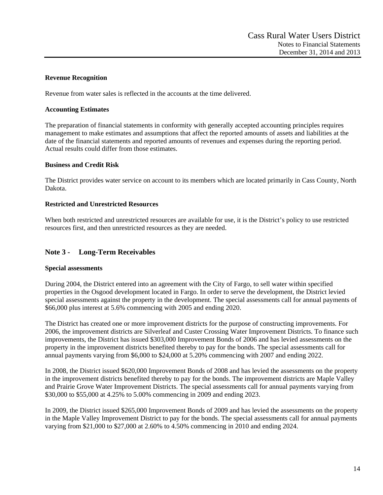# **Revenue Recognition**

Revenue from water sales is reflected in the accounts at the time delivered.

### **Accounting Estimates**

The preparation of financial statements in conformity with generally accepted accounting principles requires management to make estimates and assumptions that affect the reported amounts of assets and liabilities at the date of the financial statements and reported amounts of revenues and expenses during the reporting period. Actual results could differ from those estimates.

# **Business and Credit Risk**

The District provides water service on account to its members which are located primarily in Cass County, North Dakota.

# **Restricted and Unrestricted Resources**

When both restricted and unrestricted resources are available for use, it is the District's policy to use restricted resources first, and then unrestricted resources as they are needed.

# **Note 3 - Long-Term Receivables**

#### **Special assessments**

During 2004, the District entered into an agreement with the City of Fargo, to sell water within specified properties in the Osgood development located in Fargo. In order to serve the development, the District levied special assessments against the property in the development. The special assessments call for annual payments of \$66,000 plus interest at 5.6% commencing with 2005 and ending 2020.

The District has created one or more improvement districts for the purpose of constructing improvements. For 2006, the improvement districts are Silverleaf and Custer Crossing Water Improvement Districts. To finance such improvements, the District has issued \$303,000 Improvement Bonds of 2006 and has levied assessments on the property in the improvement districts benefited thereby to pay for the bonds. The special assessments call for annual payments varying from \$6,000 to \$24,000 at 5.20% commencing with 2007 and ending 2022.

In 2008, the District issued \$620,000 Improvement Bonds of 2008 and has levied the assessments on the property in the improvement districts benefited thereby to pay for the bonds. The improvement districts are Maple Valley and Prairie Grove Water Improvement Districts. The special assessments call for annual payments varying from \$30,000 to \$55,000 at 4.25% to 5.00% commencing in 2009 and ending 2023.

In 2009, the District issued \$265,000 Improvement Bonds of 2009 and has levied the assessments on the property in the Maple Valley Improvement District to pay for the bonds. The special assessments call for annual payments varying from \$21,000 to \$27,000 at 2.60% to 4.50% commencing in 2010 and ending 2024.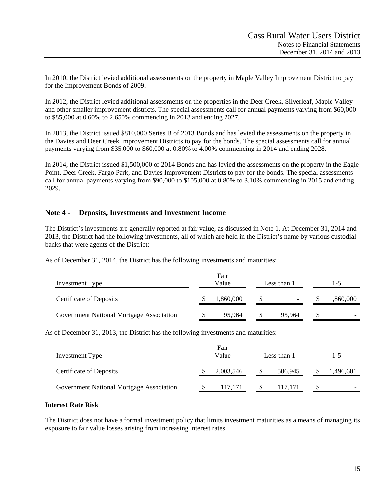In 2010, the District levied additional assessments on the property in Maple Valley Improvement District to pay for the Improvement Bonds of 2009.

In 2012, the District levied additional assessments on the properties in the Deer Creek, Silverleaf, Maple Valley and other smaller improvement districts. The special assessments call for annual payments varying from \$60,000 to \$85,000 at 0.60% to 2.650% commencing in 2013 and ending 2027.

In 2013, the District issued \$810,000 Series B of 2013 Bonds and has levied the assessments on the property in the Davies and Deer Creek Improvement Districts to pay for the bonds. The special assessments call for annual payments varying from \$35,000 to \$60,000 at 0.80% to 4.00% commencing in 2014 and ending 2028.

In 2014, the District issued \$1,500,000 of 2014 Bonds and has levied the assessments on the property in the Eagle Point, Deer Creek, Fargo Park, and Davies Improvement Districts to pay for the bonds. The special assessments call for annual payments varying from \$90,000 to \$105,000 at 0.80% to 3.10% commencing in 2015 and ending 2029.

# **Note 4 - Deposits, Investments and Investment Income**

The District's investments are generally reported at fair value, as discussed in Note 1. At December 31, 2014 and 2013, the District had the following investments, all of which are held in the District's name by various custodial banks that were agents of the District:

As of December 31, 2014, the District has the following investments and maturities:

| Investment Type                          | Fair<br>Value<br>Less than 1 |           |  |                          |  |                          |
|------------------------------------------|------------------------------|-----------|--|--------------------------|--|--------------------------|
| <b>Certificate of Deposits</b>           |                              | 1,860,000 |  | $\overline{\phantom{0}}$ |  | 1,860,000                |
| Government National Mortgage Association |                              | 95,964    |  | 95.964                   |  | $\overline{\phantom{0}}$ |

As of December 31, 2013, the District has the following investments and maturities:

| Investment Type                          | Fair<br>Value |           |         |  | Less than 1 |  | $1 - 5$ |
|------------------------------------------|---------------|-----------|---------|--|-------------|--|---------|
| <b>Certificate of Deposits</b>           |               | 2,003,546 | 506,945 |  | ,496,601    |  |         |
| Government National Mortgage Association |               | 117.171   | 117.171 |  |             |  |         |

#### **Interest Rate Risk**

The District does not have a formal investment policy that limits investment maturities as a means of managing its exposure to fair value losses arising from increasing interest rates.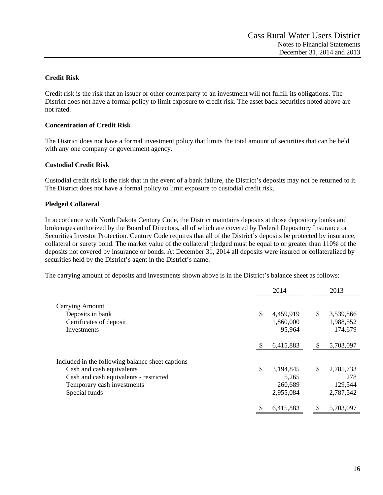# **Credit Risk**

Credit risk is the risk that an issuer or other counterparty to an investment will not fulfill its obligations. The District does not have a formal policy to limit exposure to credit risk. The asset back securities noted above are not rated.

### **Concentration of Credit Risk**

The District does not have a formal investment policy that limits the total amount of securities that can be held with any one company or government agency.

#### **Custodial Credit Risk**

Custodial credit risk is the risk that in the event of a bank failure, the District's deposits may not be returned to it. The District does not have a formal policy to limit exposure to custodial credit risk.

# **Pledged Collateral**

In accordance with North Dakota Century Code, the District maintains deposits at those depository banks and brokerages authorized by the Board of Directors, all of which are covered by Federal Depository Insurance or Securities Investor Protection. Century Code requires that all of the District's deposits be protected by insurance, collateral or surety bond. The market value of the collateral pledged must be equal to or greater than 110% of the deposits not covered by insurance or bonds. At December 31, 2014 all deposits were insured or collateralized by securities held by the District's agent in the District's name.

The carrying amount of deposits and investments shown above is in the District's balance sheet as follows:

|                                                  | 2014            |     | 2013      |
|--------------------------------------------------|-----------------|-----|-----------|
| <b>Carrying Amount</b>                           |                 |     |           |
| Deposits in bank                                 | \$<br>4,459,919 | \$  | 3,539,866 |
| Certificates of deposit                          | 1,860,000       |     | 1,988,552 |
| <b>Investments</b>                               | 95,964          |     | 174,679   |
|                                                  |                 |     |           |
|                                                  | 6,415,883       | S   | 5,703,097 |
|                                                  |                 |     |           |
| Included in the following balance sheet captions |                 |     |           |
| Cash and cash equivalents                        | \$<br>3,194,845 | \$. | 2,785,733 |
| Cash and cash equivalents - restricted           | 5,265           |     | 278       |
| Temporary cash investments                       | 260,689         |     | 129,544   |
| Special funds                                    | 2,955,084       |     | 2,787,542 |
|                                                  |                 |     |           |
|                                                  | 6,415,883       |     | 5,703,097 |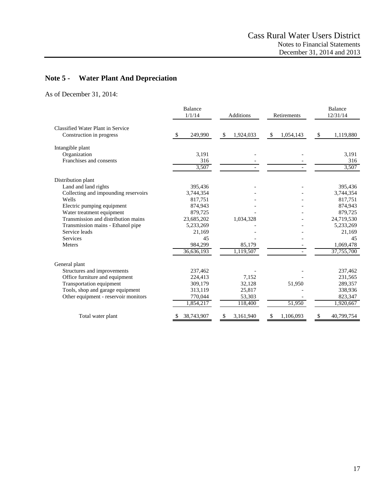# **Note 5 - Water Plant And Depreciation**

As of December 31, 2014:

|                                                                      | <b>Balance</b><br>1/1/14 | <b>Additions</b> | Retirements    | <b>Balance</b><br>12/31/14 |
|----------------------------------------------------------------------|--------------------------|------------------|----------------|----------------------------|
| <b>Classified Water Plant in Service</b><br>Construction in progress | 249,990<br>-\$           | \$<br>1,924,033  | 1,054,143<br>S | \$<br>1,119,880            |
| Intangible plant                                                     |                          |                  |                |                            |
| Organization                                                         | 3,191                    |                  |                | 3,191                      |
| Franchises and consents                                              | 316                      |                  |                | 316                        |
|                                                                      | 3,507                    |                  |                | 3,507                      |
| Distribution plant                                                   |                          |                  |                |                            |
| Land and land rights                                                 | 395,436                  |                  |                | 395,436                    |
| Collecting and impounding reservoirs                                 | 3,744,354                |                  |                | 3,744,354                  |
| Wells                                                                | 817,751                  |                  |                | 817,751                    |
| Electric pumping equipment                                           | 874,943                  |                  |                | 874,943                    |
| Water treatment equipment                                            | 879,725                  |                  |                | 879,725                    |
| Transmission and distribution mains                                  | 23,685,202               | 1,034,328        |                | 24,719,530                 |
| Transmission mains - Ethanol pipe                                    | 5,233,269                |                  |                | 5,233,269                  |
| Service leads                                                        | 21,169                   |                  |                | 21,169                     |
| Services                                                             | 45                       |                  |                | 45                         |
| <b>Meters</b>                                                        | 984,299                  | 85,179           |                | 1,069,478                  |
|                                                                      | 36,636,193               | 1,119,507        |                | 37,755,700                 |
| General plant                                                        |                          |                  |                |                            |
| Structures and improvements                                          | 237,462                  |                  |                | 237,462                    |
| Office furniture and equipment                                       | 224.413                  | 7,152            |                | 231,565                    |
| Transportation equipment                                             | 309,179                  | 32,128           | 51,950         | 289,357                    |
| Tools, shop and garage equipment                                     | 313,119                  | 25,817           |                | 338,936                    |
| Other equipment - reservoir monitors                                 | 770,044                  | 53,303           |                | 823,347                    |
|                                                                      | 1,854,217                | 118,400          | 51,950         | 1,920,667                  |
| Total water plant                                                    | 38,743,907               | 3,161,940<br>\$  | 1,106,093      | 40,799,754                 |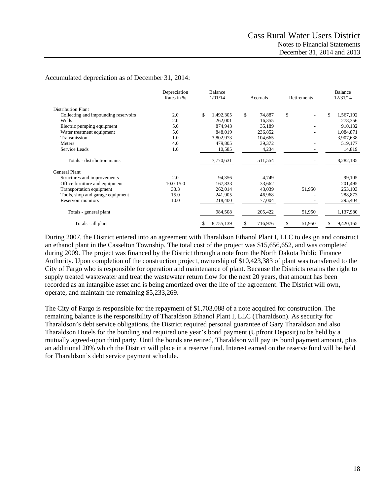#### Accumulated depreciation as of December 31, 2014:

|                                      | Depreciation<br>Rates in % | <b>Balance</b><br>1/01/14 | Retirements<br>Accruals |              | Balance<br>12/31/14 |  |
|--------------------------------------|----------------------------|---------------------------|-------------------------|--------------|---------------------|--|
| <b>Distribution Plant</b>            |                            |                           |                         |              |                     |  |
| Collecting and impounding reservoirs | 2.0                        | \$<br>1,492,305           | \$<br>74,887            | \$           | \$<br>1,567,192     |  |
| Wells                                | 2.0                        | 262,001                   | 16,355                  |              | 278,356             |  |
| Electric pumping equipment           | 5.0                        | 874,943                   | 35,189                  |              | 910,132             |  |
| Water treatment equipment            | 5.0                        | 848,019                   | 236,852                 |              | 1,084,871           |  |
| Transmission                         | 1.0                        | 3,802,973                 | 104,665                 |              | 3,907,638           |  |
| Meters                               | 4.0                        | 479,805                   | 39,372                  |              | 519,177             |  |
| Service Leads                        | 1.0                        | 10,585                    | 4,234                   |              | 14,819              |  |
| Totals - distribution mains          |                            | 7,770,631                 | 511,554                 |              | 8,282,185           |  |
| General Plant                        |                            |                           |                         |              |                     |  |
| Structures and improvements          | 2.0                        | 94,356                    | 4,749                   |              | 99,105              |  |
| Office furniture and equipment       | $10.0 - 15.0$              | 167,833                   | 33,662                  |              | 201,495             |  |
| Transportation equipment             | 33.3                       | 262,014                   | 43,039                  | 51,950       | 253,103             |  |
| Tools, shop and garage equipment     | 15.0                       | 241,905                   | 46,968                  |              | 288,873             |  |
| Reservoir monitors                   | 10.0                       | 218,400                   | 77,004                  |              | 295,404             |  |
| Totals - general plant               |                            | 984,508                   | 205,422                 | 51,950       | 1,137,980           |  |
| Totals - all plant                   |                            | 8,755,139<br>\$           | \$<br>716,976           | 51,950<br>\$ | 9,420,165<br>\$     |  |

During 2007, the District entered into an agreement with Tharaldson Ethanol Plant I, LLC to design and construct an ethanol plant in the Casselton Township. The total cost of the project was \$15,656,652, and was completed during 2009. The project was financed by the District through a note from the North Dakota Public Finance Authority. Upon completion of the construction project, ownership of \$10,423,383 of plant was transferred to the City of Fargo who is responsible for operation and maintenance of plant. Because the Districts retains the right to supply treated wastewater and treat the wastewater return flow for the next 20 years, that amount has been recorded as an intangible asset and is being amortized over the life of the agreement. The District will own, operate, and maintain the remaining \$5,233,269.

The City of Fargo is responsible for the repayment of \$1,703,088 of a note acquired for construction. The remaining balance is the responsibility of Tharaldson Ethanol Plant I, LLC (Tharaldson). As security for Tharaldson's debt service obligations, the District required personal guarantee of Gary Tharaldson and also Tharaldson Hotels for the bonding and required one year's bond payment (Upfront Deposit) to be held by a mutually agreed-upon third party. Until the bonds are retired, Tharaldson will pay its bond payment amount, plus an additional 20% which the District will place in a reserve fund. Interest earned on the reserve fund will be held for Tharaldson's debt service payment schedule.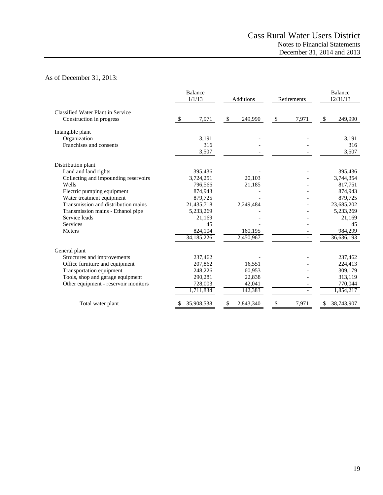# As of December 31, 2013:

|                                      | <b>Balance</b><br>1/1/13 | Additions     | Retirements | <b>Balance</b><br>12/31/13 |
|--------------------------------------|--------------------------|---------------|-------------|----------------------------|
| Classified Water Plant in Service    |                          |               |             |                            |
| Construction in progress             | 7,971<br>S               | \$<br>249,990 | 7,971<br>\$ | \$<br>249,990              |
| Intangible plant                     |                          |               |             |                            |
| Organization                         | 3,191                    |               |             | 3,191                      |
| Franchises and consents              | 316                      |               |             | 316                        |
|                                      | 3,507                    |               |             | 3,507                      |
| Distribution plant                   |                          |               |             |                            |
| Land and land rights                 | 395,436                  |               |             | 395,436                    |
| Collecting and impounding reservoirs | 3,724,251                | 20,103        |             | 3,744,354                  |
| Wells                                | 796,566                  | 21,185        |             | 817,751                    |
| Electric pumping equipment           | 874,943                  |               |             | 874,943                    |
| Water treatment equipment            | 879,725                  |               |             | 879,725                    |
| Transmission and distribution mains  | 21,435,718               | 2,249,484     |             | 23,685,202                 |
| Transmission mains - Ethanol pipe    | 5,233,269                |               |             | 5,233,269                  |
| Service leads                        | 21,169                   |               |             | 21,169                     |
| Services                             | 45                       |               |             | 45                         |
| <b>Meters</b>                        | 824,104                  | 160,195       |             | 984,299                    |
|                                      | 34, 185, 226             | 2,450,967     |             | 36,636,193                 |
| General plant                        |                          |               |             |                            |
| Structures and improvements          | 237,462                  |               |             | 237,462                    |
| Office furniture and equipment       | 207,862                  | 16,551        |             | 224,413                    |
| Transportation equipment             | 248,226                  | 60,953        |             | 309,179                    |
| Tools, shop and garage equipment     | 290,281                  | 22,838        |             | 313,119                    |
| Other equipment - reservoir monitors | 728,003                  | 42,041        |             | 770,044                    |
|                                      | 1,711,834                | 142,383       |             | 1,854,217                  |
| Total water plant                    | 35,908,538               | 2,843,340     | 7,971<br>\$ | 38,743,907                 |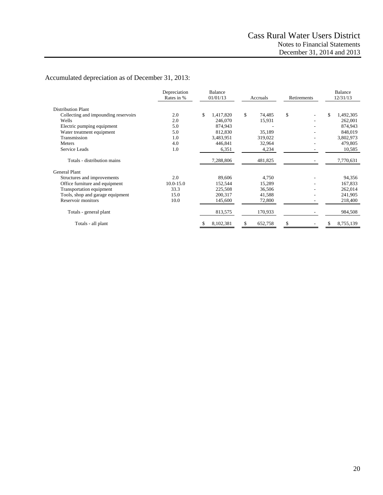# Accumulated depreciation as of December 31, 2013:

|                                      | Depreciation<br>Rates in % | Balance<br>01/01/13 | Accruals     | Retirements | <b>Balance</b><br>12/31/13 |  |
|--------------------------------------|----------------------------|---------------------|--------------|-------------|----------------------------|--|
| <b>Distribution Plant</b>            |                            |                     |              |             |                            |  |
| Collecting and impounding reservoirs | 2.0                        | \$<br>1,417,820     | \$<br>74,485 | \$          | \$<br>1,492,305            |  |
| Wells                                | 2.0                        | 246,070             | 15,931       |             | 262,001                    |  |
| Electric pumping equipment           | 5.0                        | 874,943             |              |             | 874,943                    |  |
| Water treatment equipment            | 5.0                        | 812,830             | 35,189       |             | 848,019                    |  |
| Transmission                         | 1.0                        | 3,483,951           | 319,022      |             | 3,802,973                  |  |
| <b>Meters</b>                        | 4.0                        | 446,841             | 32,964       |             | 479,805                    |  |
| Service Leads                        | 1.0                        | 6,351               | 4,234        |             | 10,585                     |  |
| Totals - distribution mains          |                            | 7,288,806           | 481,825      |             | 7,770,631                  |  |
| <b>General Plant</b>                 |                            |                     |              |             |                            |  |
| Structures and improvements          | 2.0                        | 89,606              | 4,750        |             | 94,356                     |  |
| Office furniture and equipment       | $10.0 - 15.0$              | 152,544             | 15,289       |             | 167,833                    |  |
| Transportation equipment             | 33.3                       | 225,508             | 36,506       |             | 262,014                    |  |
| Tools, shop and garage equipment     | 15.0                       | 200,317             | 41,588       |             | 241,905                    |  |
| Reservoir monitors                   | 10.0                       | 145,600             | 72,800       |             | 218,400                    |  |
| Totals - general plant               |                            | 813,575             | 170,933      |             | 984,508                    |  |
| Totals - all plant                   |                            | 8,102,381<br>\$     | 652,758<br>S | \$          | 8,755,139<br>\$            |  |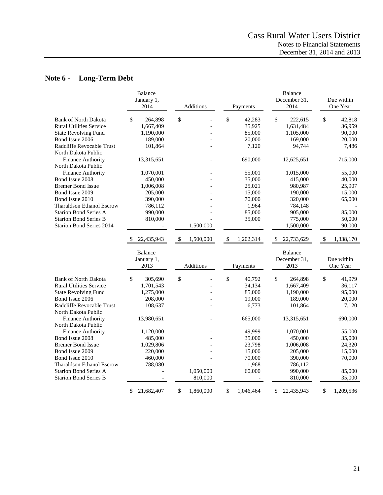# **Note 6 - Long-Term Debt**

|                                                  | Balance<br>January 1,<br>2014 | Additions                 | Payments        | <b>Balance</b><br>December 31,<br>2014 | Due within<br>One Year |
|--------------------------------------------------|-------------------------------|---------------------------|-----------------|----------------------------------------|------------------------|
| <b>Bank of North Dakota</b>                      | \$<br>264,898                 | $\boldsymbol{\mathsf{S}}$ | \$<br>42,283    | \$<br>222,615                          | \$<br>42,818           |
| <b>Rural Utilities Service</b>                   | 1,667,409                     |                           | 35,925          | 1,631,484                              | 36,959                 |
| <b>State Revolving Fund</b>                      | 1,190,000                     |                           | 85,000          | 1,105,000                              | 90,000                 |
| Bond Issue 2006                                  | 189,000                       |                           | 20,000          | 169,000                                | 20,000                 |
| Radcliffe Revocable Trust<br>North Dakota Public | 101,864                       |                           | 7,120           | 94,744                                 | 7,486                  |
| <b>Finance Authority</b><br>North Dakota Public  | 13,315,651                    |                           | 690,000         | 12,625,651                             | 715,000                |
| <b>Finance Authority</b>                         | 1,070,001                     |                           | 55,001          | 1,015,000                              | 55,000                 |
| Bond Issue 2008                                  | 450,000                       |                           | 35,000          | 415,000                                | 40,000                 |
| <b>Bremer Bond Issue</b>                         | 1,006,008                     |                           | 25,021          | 980,987                                | 25,907                 |
| Bond Issue 2009                                  | 205,000                       |                           | 15,000          | 190,000                                | 15,000                 |
| Bond Issue 2010                                  | 390,000                       |                           | 70,000          | 320,000                                | 65,000                 |
| <b>Tharaldson Ethanol Escrow</b>                 | 786,112                       |                           | 1,964           | 784,148                                |                        |
| <b>Starion Bond Series A</b>                     | 990,000                       |                           | 85,000          | 905,000                                | 85,000                 |
| <b>Starion Bond Series B</b>                     | 810,000                       |                           | 35,000          | 775,000                                | 50,000                 |
| <b>Starion Bond Series 2014</b>                  |                               | 1,500,000                 |                 | 1,500,000                              | 90,000                 |
|                                                  | 22,435,943                    | $\sqrt{3}$<br>1,500,000   | \$<br>1,202,314 | 22,733,629<br>\$                       | \$<br>1,338,170        |
|                                                  | Balance                       |                           |                 | <b>Balance</b>                         |                        |
|                                                  | January 1,                    |                           |                 | December 31,                           | Due within             |
|                                                  | 2013                          | <b>Additions</b>          | Payments        | 2013                                   | One Year               |
| <b>Bank of North Dakota</b>                      | \$<br>305,690                 | \$                        | \$<br>40,792    | \$<br>264,898                          | \$<br>41,979           |
| <b>Rural Utilities Service</b>                   | 1,701,543                     |                           | 34,134          | 1,667,409                              | 36,117                 |
| <b>State Revolving Fund</b>                      | 1,275,000                     |                           | 85,000          | 1,190,000                              | 95,000                 |
| Bond Issue 2006                                  | 208,000                       |                           | 19,000          | 189,000                                | 20,000                 |
| Radcliffe Revocable Trust<br>North Dakota Public | 108,637                       |                           | 6,773           | 101,864                                | 7,120                  |
| <b>Finance Authority</b><br>North Dakota Public  | 13,980,651                    |                           | 665,000         | 13,315,651                             | 690,000                |
| Finance Authority                                | 1,120,000                     |                           | 49,999          | 1,070,001                              | 55,000                 |
| Bond Issue 2008                                  | 485,000                       |                           | 35,000          | 450,000                                | 35,000                 |
| <b>Bremer Bond Issue</b>                         | 1,029,806                     |                           | 23,798          | 1,006,008                              | 24,320                 |
| Bond Issue 2009                                  | 220,000                       |                           | 15,000          | 205,000                                | 15,000                 |
| Bond Issue 2010                                  | 460,000                       |                           | 70,000          | 390,000                                | 70,000                 |
| <b>Tharaldson Ethanol Escrow</b>                 | 788,080                       |                           | 1,968           | 786,112                                |                        |
| <b>Starion Bond Series A</b>                     |                               | 1,050,000                 | 60,000          | 990,000                                | 85,000                 |
| <b>Starion Bond Series B</b>                     |                               | 810,000                   |                 | 810,000                                | 35,000                 |
|                                                  | \$<br>21,682,407              | \$<br>1,860,000           | \$<br>1,046,464 | \$<br>22,435,943                       | \$<br>1,209,536        |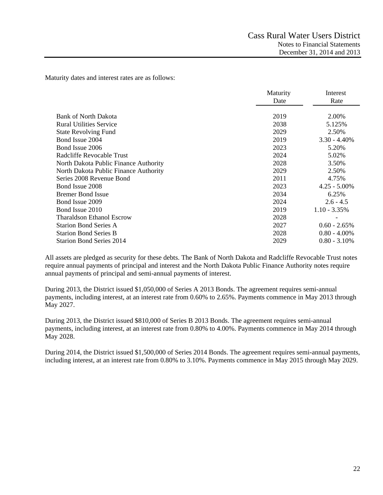Maturity dates and interest rates are as follows:

| Rate<br>Date<br><b>Bank of North Dakota</b><br>2019<br>2.00% | Maturity | Interest |
|--------------------------------------------------------------|----------|----------|
|                                                              |          |          |
|                                                              |          |          |
|                                                              |          |          |
| <b>Rural Utilities Service</b><br>2038<br>5.125%             |          |          |
| <b>State Revolving Fund</b><br>2029<br>2.50%                 |          |          |
| Bond Issue 2004<br>2019<br>$3.30 - 4.40\%$                   |          |          |
| 2023<br>5.20%<br>Bond Issue 2006                             |          |          |
| Radcliffe Revocable Trust<br>2024<br>5.02%                   |          |          |
| 2028<br>3.50%<br>North Dakota Public Finance Authority       |          |          |
| 2029<br>2.50%<br>North Dakota Public Finance Authority       |          |          |
| 2011<br>Series 2008 Revenue Bond<br>4.75%                    |          |          |
| 2023<br>$4.25 - 5.00\%$<br>Bond Issue 2008                   |          |          |
| <b>Bremer Bond Issue</b><br>2034<br>6.25%                    |          |          |
| 2024<br>$2.6 - 4.5$<br>Bond Issue 2009                       |          |          |
| 2019<br>$1.10 - 3.35\%$<br>Bond Issue 2010                   |          |          |
| <b>Tharaldson Ethanol Escrow</b><br>2028                     |          |          |
| 2027<br><b>Starion Bond Series A</b><br>$0.60 - 2.65\%$      |          |          |
| <b>Starion Bond Series B</b><br>2028<br>$0.80 - 4.00\%$      |          |          |
| 2029<br>$0.80 - 3.10\%$<br><b>Starion Bond Series 2014</b>   |          |          |

All assets are pledged as security for these debts. The Bank of North Dakota and Radcliffe Revocable Trust notes require annual payments of principal and interest and the North Dakota Public Finance Authority notes require annual payments of principal and semi-annual payments of interest.

During 2013, the District issued \$1,050,000 of Series A 2013 Bonds. The agreement requires semi-annual payments, including interest, at an interest rate from 0.60% to 2.65%. Payments commence in May 2013 through May 2027.

During 2013, the District issued \$810,000 of Series B 2013 Bonds. The agreement requires semi-annual payments, including interest, at an interest rate from 0.80% to 4.00%. Payments commence in May 2014 through May 2028.

During 2014, the District issued \$1,500,000 of Series 2014 Bonds. The agreement requires semi-annual payments, including interest, at an interest rate from 0.80% to 3.10%. Payments commence in May 2015 through May 2029.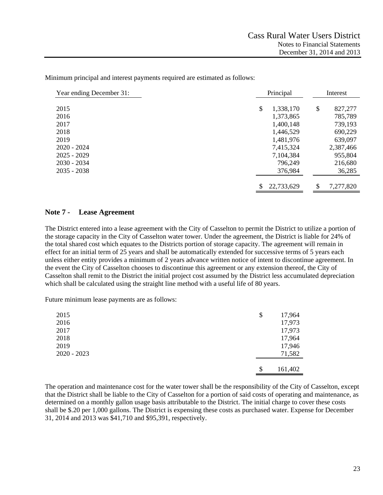Minimum principal and interest payments required are estimated as follows:

| Year ending December 31: | Principal        |    | Interest  |  |
|--------------------------|------------------|----|-----------|--|
| 2015                     | \$<br>1,338,170  | \$ | 827,277   |  |
| 2016                     | 1,373,865        |    | 785,789   |  |
| 2017                     | 1,400,148        |    | 739,193   |  |
| 2018                     | 1,446,529        |    | 690,229   |  |
| 2019                     | 1,481,976        |    | 639,097   |  |
| $2020 - 2024$            | 7,415,324        |    | 2,387,466 |  |
| $2025 - 2029$            | 7,104,384        |    | 955,804   |  |
| $2030 - 2034$            | 796,249          |    | 216,680   |  |
| $2035 - 2038$            | 376,984          |    | 36,285    |  |
|                          |                  |    |           |  |
|                          | \$<br>22,733,629 | \$ | 7,277,820 |  |

#### **Note 7 - Lease Agreement**

The District entered into a lease agreement with the City of Casselton to permit the District to utilize a portion of the storage capacity in the City of Casselton water tower. Under the agreement, the District is liable for 24% of the total shared cost which equates to the Districts portion of storage capacity. The agreement will remain in effect for an initial term of 25 years and shall be automatically extended for successive terms of 5 years each unless either entity provides a minimum of 2 years advance written notice of intent to discontinue agreement. In the event the City of Casselton chooses to discontinue this agreement or any extension thereof, the City of Casselton shall remit to the District the initial project cost assumed by the District less accumulated depreciation which shall be calculated using the straight line method with a useful life of 80 years.

Future minimum lease payments are as follows:

| 2015        | \$<br>17,964  |
|-------------|---------------|
| 2016        | 17,973        |
| 2017        | 17,973        |
| 2018        | 17,964        |
| 2019        | 17,946        |
| 2020 - 2023 | 71,582        |
|             |               |
|             | \$<br>161,402 |

The operation and maintenance cost for the water tower shall be the responsibility of the City of Casselton, except that the District shall be liable to the City of Casselton for a portion of said costs of operating and maintenance, as determined on a monthly gallon usage basis attributable to the District. The initial charge to cover these costs shall be \$.20 per 1,000 gallons. The District is expensing these costs as purchased water. Expense for December 31, 2014 and 2013 was \$41,710 and \$95,391, respectively.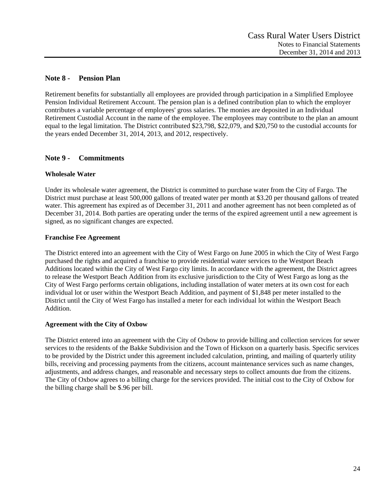# **Note 8 - Pension Plan**

Retirement benefits for substantially all employees are provided through participation in a Simplified Employee Pension Individual Retirement Account. The pension plan is a defined contribution plan to which the employer contributes a variable percentage of employees' gross salaries. The monies are deposited in an Individual Retirement Custodial Account in the name of the employee. The employees may contribute to the plan an amount equal to the legal limitation. The District contributed \$23,798, \$22,079, and \$20,750 to the custodial accounts for the years ended December 31, 2014, 2013, and 2012, respectively.

# **Note 9 - Commitments**

# **Wholesale Water**

Under its wholesale water agreement, the District is committed to purchase water from the City of Fargo. The District must purchase at least 500,000 gallons of treated water per month at \$3.20 per thousand gallons of treated water. This agreement has expired as of December 31, 2011 and another agreement has not been completed as of December 31, 2014. Both parties are operating under the terms of the expired agreement until a new agreement is signed, as no significant changes are expected.

# **Franchise Fee Agreement**

The District entered into an agreement with the City of West Fargo on June 2005 in which the City of West Fargo purchased the rights and acquired a franchise to provide residential water services to the Westport Beach Additions located within the City of West Fargo city limits. In accordance with the agreement, the District agrees to release the Westport Beach Addition from its exclusive jurisdiction to the City of West Fargo as long as the City of West Fargo performs certain obligations, including installation of water meters at its own cost for each individual lot or user within the Westport Beach Addition, and payment of \$1,848 per meter installed to the District until the City of West Fargo has installed a meter for each individual lot within the Westport Beach Addition.

#### **Agreement with the City of Oxbow**

The District entered into an agreement with the City of Oxbow to provide billing and collection services for sewer services to the residents of the Bakke Subdivision and the Town of Hickson on a quarterly basis. Specific services to be provided by the District under this agreement included calculation, printing, and mailing of quarterly utility bills, receiving and processing payments from the citizens, account maintenance services such as name changes, adjustments, and address changes, and reasonable and necessary steps to collect amounts due from the citizens. The City of Oxbow agrees to a billing charge for the services provided. The initial cost to the City of Oxbow for the billing charge shall be \$.96 per bill.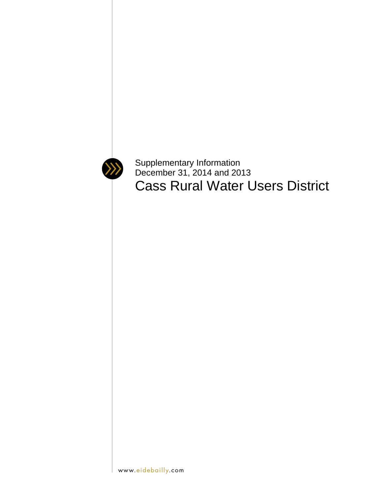

Supplementary Information December 31, 2014 and 2013 Cass Rural Water Users District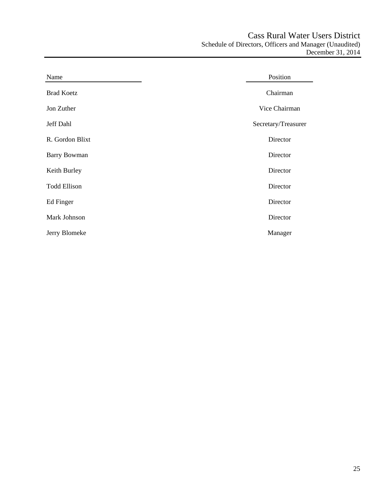| Name                | Position            |
|---------------------|---------------------|
| <b>Brad Koetz</b>   | Chairman            |
| Jon Zuther          | Vice Chairman       |
| Jeff Dahl           | Secretary/Treasurer |
| R. Gordon Blixt     | Director            |
| <b>Barry Bowman</b> | Director            |
| Keith Burley        | Director            |
| <b>Todd Ellison</b> | Director            |
| Ed Finger           | Director            |
| Mark Johnson        | Director            |
| Jerry Blomeke       | Manager             |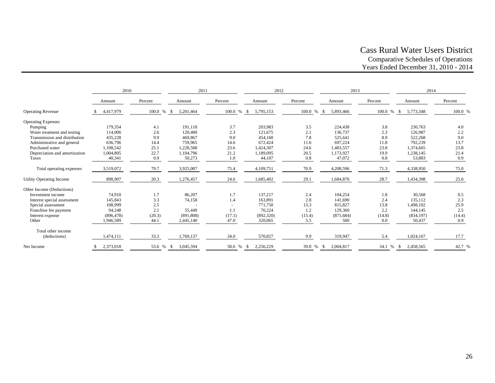# Cass Rural Water Users District Comparative Schedules of Operations Years Ended December 31, 2010 - 2014

|                               | 2010       |            | 2011              |         | 2012            |         | 2013              |              | 2014            |         |
|-------------------------------|------------|------------|-------------------|---------|-----------------|---------|-------------------|--------------|-----------------|---------|
|                               | Amount     | Percent    | Amount            | Percent | Amount          | Percent | Amount            | Percent      | Amount          | Percent |
| <b>Operating Revenue</b>      | 4,417,979  | 100.0 % \$ | 5,201,464         | 100.0 % | 5,795,153       | 100.0 % | 5,893,466         | 100.0 % \$   | 5,773,348       | 100.0 % |
| <b>Operating Expenses</b>     |            |            |                   |         |                 |         |                   |              |                 |         |
| Pumping                       | 179,354    | 4.1        | 191,118           | 3.7     | 203,983         | 3.5     | 224,438           | 3.8          | 230,763         | 4.0     |
| Water treatment and testing   | 114,006    | 2.6        | 120,400           | 2.3     | 121,675         | 2.1     | 136,737           | 2.3          | 126,987         | 2.2     |
| Transmission and distribution | 435,228    | 9.9        | 469,867           | 9.0     | 454,160         | 7.8     | 525,641           | 8.9          | 522,268         | 9.0     |
| Administrative and general    | 636,796    | 14.4       | 759,965           | 14.6    | 672,424         | 11.6    | 697,224           | 11.8         | 792,239         | 13.7    |
| Purchased water               | 1,108,542  | 25.1       | 1,228,588         | 23.6    | 1.424.307       | 24.6    | 1,403,557         | 23.8         | 1.374,665       | 23.8    |
| Depreciation and amortization | 1,004,805  | 22.7       | 1,104,796         | 21.2    | 1,189,095       | 20.5    | 1,173,927         | 19.9         | 1,238,145       | 21.4    |
| Taxes                         | 40,341     | 0.9        | 50,273            | 1.0     | 44,107          | 0.8     | 47,072            | 0.8          | 53,883          | 0.9     |
| Total operating expenses      | 3,519,072  | 79.7       | 3,925,007         | 75.4    | 4,109,751       | 70.9    | 4,208,596         | 71.3         | 4,338,950       | 75.0    |
| Utility Operating Income      | 898,907    | 20.3       | 1,276,457         | 24.6    | 1,685,402       | 29.1    | 1,684,870         | 28.7         | 1,434,398       | 25.0    |
| Other Income (Deductions)     |            |            |                   |         |                 |         |                   |              |                 |         |
| Investment income             | 74,910     | 1.7        | 86,207            | 1.7     | 137,217         | 2.4     | 104,254           | 1.8          | 30,568          | 0.5     |
| Interest special assessment   | 145,843    | 3.3        | 74,158            | 1.4     | 163,891         | 2.8     | 141,690           | 2.4          | 135,112         | 2.3     |
| Special assessment            | 108,999    | 2.5        |                   |         | 771,750         | 13.3    | 815,827           | 13.8         | 1,498,102       | 25.9    |
| Franchise fee payment         | 94,248     | 2.1        | 55,440            | 1.1     | 70.224          | 1.2     | 129,360           | 2.2          | 144,145         | 2.5     |
| Interest expense              | (896, 478) | (20.3)     | (891, 808)        | (17.1)  | (892, 320)      | (15.4)  | (871, 684)        | (14.8)       | (834, 197)      | (14.4)  |
| Other                         | 1,946,589  | 44.1       | 2,445,140         | 47.0    | 320,065         | 5.5     | 500               | 0.0          | 50,437          | 0.9     |
| Total other income            |            |            |                   |         |                 |         |                   |              |                 |         |
| (deductions)                  | 1,474,111  | 33.3       | 1,769,137         | 34.0    | 570,827         | 9.9     | 319,947           | 5.4          | 1,024,167       | 17.7    |
| Net Income                    | 2,373,018  | 53.6 %     | 3,045,594<br>- \$ | 58.6 %  | 2.256.229<br>-S | 39.0 %  | 2.004.817<br>- \$ | 34.1<br>$\%$ | 2,458,565<br>-S | 42.7 %  |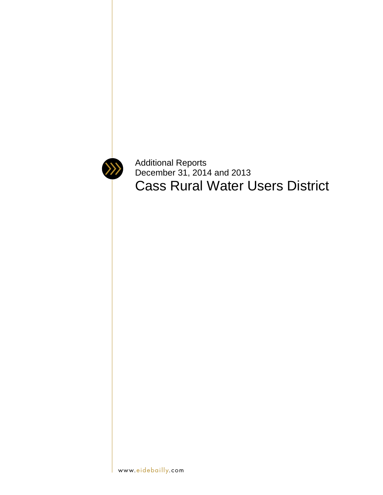

Additional Reports December 31, 2014 and 2013 Cass Rural Water Users District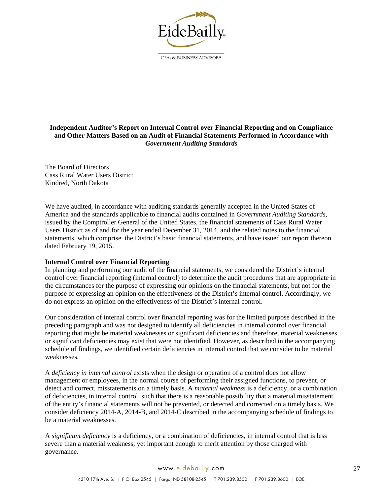

CPAs & BUSINESS ADVISORS

# **Independent Auditor's Report on Internal Control over Financial Reporting and on Compliance and Other Matters Based on an Audit of Financial Statements Performed in Accordance with**  *Government Auditing Standards*

The Board of Directors Cass Rural Water Users District Kindred, North Dakota

We have audited, in accordance with auditing standards generally accepted in the United States of America and the standards applicable to financial audits contained in *Government Auditing Standards*, issued by the Comptroller General of the United States, the financial statements of Cass Rural Water Users District as of and for the year ended December 31, 2014, and the related notes to the financial statements, which comprise the District's basic financial statements, and have issued our report thereon dated February 19, 2015.

#### **Internal Control over Financial Reporting**

In planning and performing our audit of the financial statements, we considered the District's internal control over financial reporting (internal control) to determine the audit procedures that are appropriate in the circumstances for the purpose of expressing our opinions on the financial statements, but not for the purpose of expressing an opinion on the effectiveness of the District's internal control. Accordingly, we do not express an opinion on the effectiveness of the District's internal control.

Our consideration of internal control over financial reporting was for the limited purpose described in the preceding paragraph and was not designed to identify all deficiencies in internal control over financial reporting that might be material weaknesses or significant deficiencies and therefore, material weaknesses or significant deficiencies may exist that were not identified. However, as described in the accompanying schedule of findings, we identified certain deficiencies in internal control that we consider to be material weaknesses.

A *deficiency in internal control* exists when the design or operation of a control does not allow management or employees, in the normal course of performing their assigned functions, to prevent, or detect and correct, misstatements on a timely basis. A *material weakness* is a deficiency, or a combination of deficiencies, in internal control, such that there is a reasonable possibility that a material misstatement of the entity's financial statements will not be prevented, or detected and corrected on a timely basis. We consider deficiency 2014-A, 2014-B, and 2014-C described in the accompanying schedule of findings to be a material weaknesses.

A *significant deficiency* is a deficiency, or a combination of deficiencies, in internal control that is less severe than a material weakness, yet important enough to merit attention by those charged with governance.

# www.eidebailly.com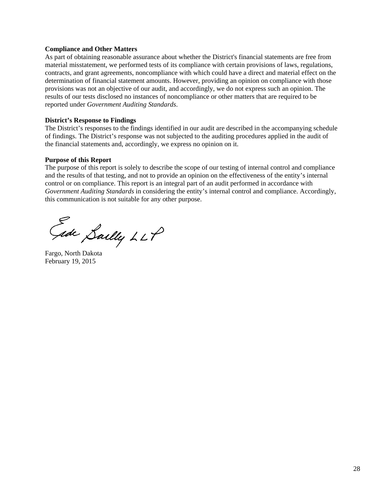#### **Compliance and Other Matters**

As part of obtaining reasonable assurance about whether the District's financial statements are free from material misstatement, we performed tests of its compliance with certain provisions of laws, regulations, contracts, and grant agreements, noncompliance with which could have a direct and material effect on the determination of financial statement amounts. However, providing an opinion on compliance with those provisions was not an objective of our audit, and accordingly, we do not express such an opinion. The results of our tests disclosed no instances of noncompliance or other matters that are required to be reported under *Government Auditing Standards*.

#### **District's Response to Findings**

The District's responses to the findings identified in our audit are described in the accompanying schedule of findings. The District's response was not subjected to the auditing procedures applied in the audit of the financial statements and, accordingly, we express no opinion on it.

#### **Purpose of this Report**

The purpose of this report is solely to describe the scope of our testing of internal control and compliance and the results of that testing, and not to provide an opinion on the effectiveness of the entity's internal control or on compliance. This report is an integral part of an audit performed in accordance with *Government Auditing Standards* in considering the entity's internal control and compliance. Accordingly, this communication is not suitable for any other purpose.

Gide Sailly LLP

Fargo, North Dakota February 19, 2015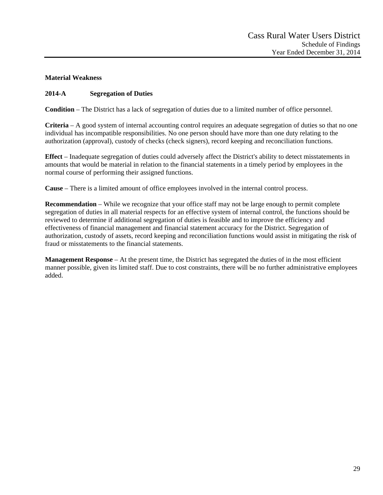# **Material Weakness**

# **2014-A Segregation of Duties**

**Condition** – The District has a lack of segregation of duties due to a limited number of office personnel.

**Criteria** – A good system of internal accounting control requires an adequate segregation of duties so that no one individual has incompatible responsibilities. No one person should have more than one duty relating to the authorization (approval), custody of checks (check signers), record keeping and reconciliation functions.

**Effect** – Inadequate segregation of duties could adversely affect the District's ability to detect misstatements in amounts that would be material in relation to the financial statements in a timely period by employees in the normal course of performing their assigned functions.

**Cause** – There is a limited amount of office employees involved in the internal control process.

**Recommendation** – While we recognize that your office staff may not be large enough to permit complete segregation of duties in all material respects for an effective system of internal control, the functions should be reviewed to determine if additional segregation of duties is feasible and to improve the efficiency and effectiveness of financial management and financial statement accuracy for the District. Segregation of authorization, custody of assets, record keeping and reconciliation functions would assist in mitigating the risk of fraud or misstatements to the financial statements.

**Management Response** – At the present time, the District has segregated the duties of in the most efficient manner possible, given its limited staff. Due to cost constraints, there will be no further administrative employees added.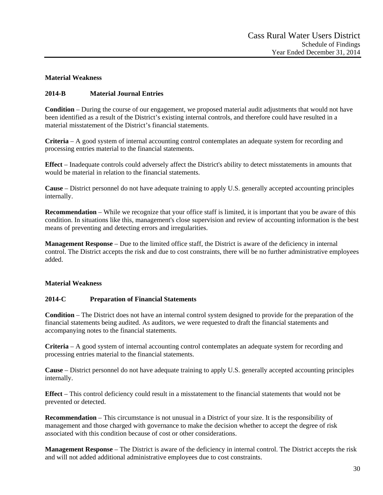# **Material Weakness**

# **2014-B Material Journal Entries**

**Condition** – During the course of our engagement, we proposed material audit adjustments that would not have been identified as a result of the District's existing internal controls, and therefore could have resulted in a material misstatement of the District's financial statements.

**Criteria** – A good system of internal accounting control contemplates an adequate system for recording and processing entries material to the financial statements.

**Effect** – Inadequate controls could adversely affect the District's ability to detect misstatements in amounts that would be material in relation to the financial statements.

**Cause** – District personnel do not have adequate training to apply U.S. generally accepted accounting principles internally.

**Recommendation** – While we recognize that your office staff is limited, it is important that you be aware of this condition. In situations like this, management's close supervision and review of accounting information is the best means of preventing and detecting errors and irregularities.

**Management Response** – Due to the limited office staff, the District is aware of the deficiency in internal control. The District accepts the risk and due to cost constraints, there will be no further administrative employees added.

#### **Material Weakness**

#### **2014-C Preparation of Financial Statements**

**Condition** – The District does not have an internal control system designed to provide for the preparation of the financial statements being audited. As auditors, we were requested to draft the financial statements and accompanying notes to the financial statements.

**Criteria** – A good system of internal accounting control contemplates an adequate system for recording and processing entries material to the financial statements.

**Cause** – District personnel do not have adequate training to apply U.S. generally accepted accounting principles internally.

**Effect** – This control deficiency could result in a misstatement to the financial statements that would not be prevented or detected.

**Recommendation** – This circumstance is not unusual in a District of your size. It is the responsibility of management and those charged with governance to make the decision whether to accept the degree of risk associated with this condition because of cost or other considerations.

**Management Response** – The District is aware of the deficiency in internal control. The District accepts the risk and will not added additional administrative employees due to cost constraints.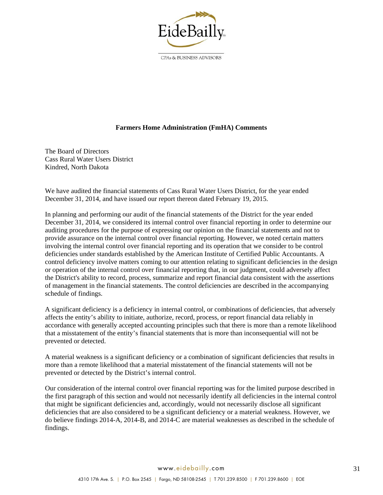

CPAs & BUSINESS ADVISORS

#### **Farmers Home Administration (FmHA) Comments**

The Board of Directors Cass Rural Water Users District Kindred, North Dakota

We have audited the financial statements of Cass Rural Water Users District, for the year ended December 31, 2014, and have issued our report thereon dated February 19, 2015.

In planning and performing our audit of the financial statements of the District for the year ended December 31, 2014, we considered its internal control over financial reporting in order to determine our auditing procedures for the purpose of expressing our opinion on the financial statements and not to provide assurance on the internal control over financial reporting. However, we noted certain matters involving the internal control over financial reporting and its operation that we consider to be control deficiencies under standards established by the American Institute of Certified Public Accountants. A control deficiency involve matters coming to our attention relating to significant deficiencies in the design or operation of the internal control over financial reporting that, in our judgment, could adversely affect the District's ability to record, process, summarize and report financial data consistent with the assertions of management in the financial statements. The control deficiencies are described in the accompanying schedule of findings.

A significant deficiency is a deficiency in internal control, or combinations of deficiencies, that adversely affects the entity's ability to initiate, authorize, record, process, or report financial data reliably in accordance with generally accepted accounting principles such that there is more than a remote likelihood that a misstatement of the entity's financial statements that is more than inconsequential will not be prevented or detected.

A material weakness is a significant deficiency or a combination of significant deficiencies that results in more than a remote likelihood that a material misstatement of the financial statements will not be prevented or detected by the District's internal control.

Our consideration of the internal control over financial reporting was for the limited purpose described in the first paragraph of this section and would not necessarily identify all deficiencies in the internal control that might be significant deficiencies and, accordingly, would not necessarily disclose all significant deficiencies that are also considered to be a significant deficiency or a material weakness. However, we do believe findings 2014-A, 2014-B, and 2014-C are material weaknesses as described in the schedule of findings.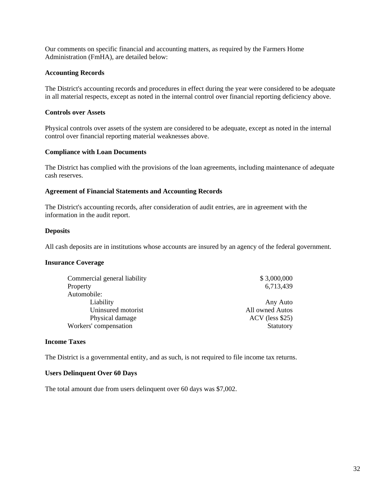Our comments on specific financial and accounting matters, as required by the Farmers Home Administration (FmHA), are detailed below:

#### **Accounting Records**

The District's accounting records and procedures in effect during the year were considered to be adequate in all material respects, except as noted in the internal control over financial reporting deficiency above.

#### **Controls over Assets**

Physical controls over assets of the system are considered to be adequate, except as noted in the internal control over financial reporting material weaknesses above.

#### **Compliance with Loan Documents**

The District has complied with the provisions of the loan agreements, including maintenance of adequate cash reserves.

#### **Agreement of Financial Statements and Accounting Records**

The District's accounting records, after consideration of audit entries, are in agreement with the information in the audit report.

#### **Deposits**

All cash deposits are in institutions whose accounts are insured by an agency of the federal government.

#### **Insurance Coverage**

| Commercial general liability | \$3,000,000       |
|------------------------------|-------------------|
| Property                     | 6,713,439         |
| Automobile:                  |                   |
| Liability                    | Any Auto          |
| Uninsured motorist           | All owned Autos   |
| Physical damage              | $ACV$ (less \$25) |
| Workers' compensation        | Statutory         |

#### **Income Taxes**

The District is a governmental entity, and as such, is not required to file income tax returns.

#### **Users Delinquent Over 60 Days**

The total amount due from users delinquent over 60 days was \$7,002.